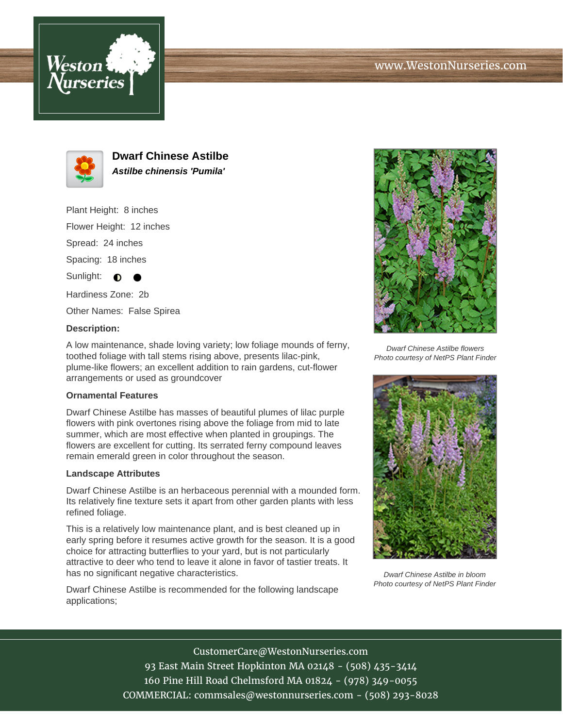





**Dwarf Chinese Astilbe Astilbe chinensis 'Pumila'**

Plant Height: 8 inches

Flower Height: 12 inches

Spread: 24 inches

Spacing: 18 inches

Sunlight:  $\bigcirc$ 

Hardiness Zone: 2b

Other Names: False Spirea

### **Description:**

A low maintenance, shade loving variety; low foliage mounds of ferny, toothed foliage with tall stems rising above, presents lilac-pink, plume-like flowers; an excellent addition to rain gardens, cut-flower arrangements or used as groundcover

#### **Ornamental Features**

Dwarf Chinese Astilbe has masses of beautiful plumes of lilac purple flowers with pink overtones rising above the foliage from mid to late summer, which are most effective when planted in groupings. The flowers are excellent for cutting. Its serrated ferny compound leaves remain emerald green in color throughout the season.

#### **Landscape Attributes**

Dwarf Chinese Astilbe is an herbaceous perennial with a mounded form. Its relatively fine texture sets it apart from other garden plants with less refined foliage.

This is a relatively low maintenance plant, and is best cleaned up in early spring before it resumes active growth for the season. It is a good choice for attracting butterflies to your yard, but is not particularly attractive to deer who tend to leave it alone in favor of tastier treats. It has no significant negative characteristics.

Dwarf Chinese Astilbe is recommended for the following landscape applications;



Dwarf Chinese Astilbe flowers Photo courtesy of NetPS Plant Finder



Dwarf Chinese Astilbe in bloom Photo courtesy of NetPS Plant Finder

# CustomerCare@WestonNurseries.com

93 East Main Street Hopkinton MA 02148 - (508) 435-3414 160 Pine Hill Road Chelmsford MA 01824 - (978) 349-0055 COMMERCIAL: commsales@westonnurseries.com - (508) 293-8028